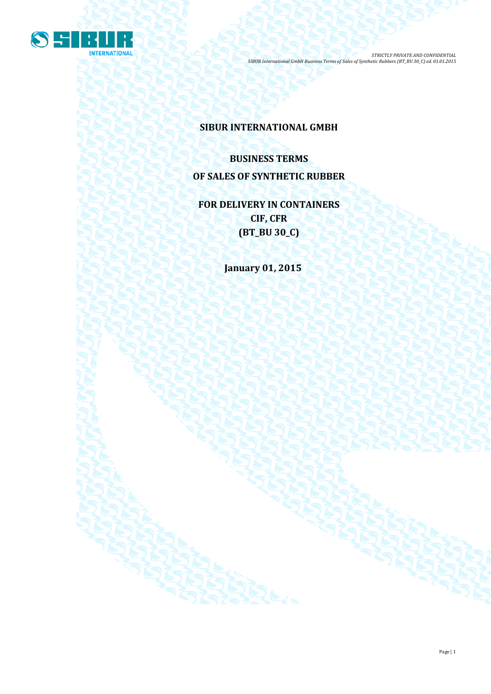

## **SIBUR INTERNATIONAL GMBH**

# **BUSINESS TERMS OF SALES OF SYNTHETIC RUBBER**

**FOR DELIVERY IN CONTAINERS CIF, CFR (BT\_BU 30\_C)**

**January 01, 2015**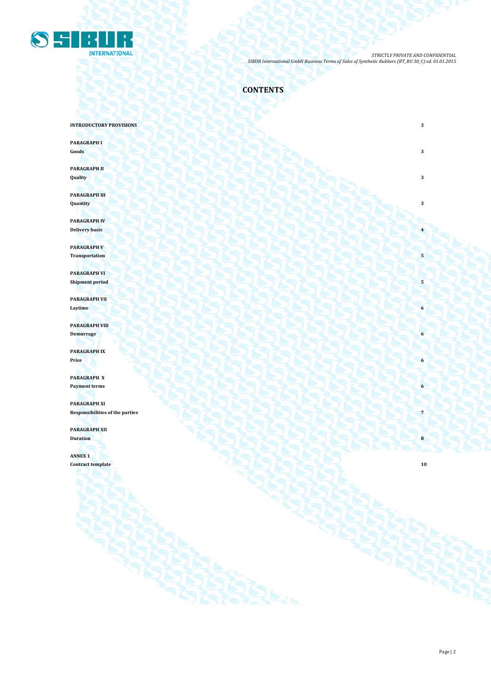

**CONTENTS**

**INTRODUCTORY PROVISIONS** 3

**PARAGRAPH I**

**Goods 3 3** 

**PARAGRAPH II Quality 3**

**PARAGRAPH III Quantity 3**

**PARAGRAPH IV Delivery basis 4 1999 1999 1999 1999 1999 1999 1999 1999 1999 1999 1999 1999 1999 1999 1999 1999 1999 1999 1999 1999 1999 1999 1999 1999 1999 1999 1999 1999 1999** 

**PARAGRAPH V** Transportation  $\left( \cdot \right)$   $\left( \cdot \right)$   $\left( \cdot \right)$   $\left( \cdot \right)$   $\left( \cdot \right)$   $\left( \cdot \right)$   $\left( \cdot \right)$   $\left( \cdot \right)$   $\left( \cdot \right)$ 

**PARAGRAPH VI Shipment period 5** 

**PARAGRAPH VII Laytime 6**

**PARAGRAPH VIII Demurrage 6**

**PARAGRAPH IX Price 6**

**PARAGRAPH X Payment terms 6** 

**PARAGRAPH XI Responsibilities of the parties 7 PARAGRAPH XII**

**Duration 8 8** 

**ANNEX 1 Contract template 10** 

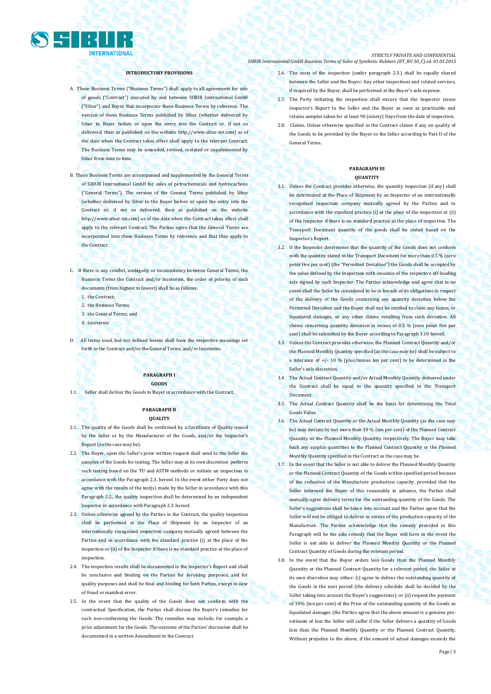

#### **INTRODUCTORY PROVISIONS**

- A. These Business Terms ("Business Terms") shall apply to all agreements for sale of goods ("Contract") executed by and between SIBUR International GmbH ("Sibur") and Buyer that incorporate these Business Terms by reference. The version of these Business Terms published by Sibur (whether delivered by Sibur to Buyer before or upon the entry into the Contract or, if not so delivered, then as published on the websit[e http://www.sibur-int.com\)](http://www.sibur-int.com/) as of the date when the Contract takes effect shall apply to the relevant Contract. The Business Terms may be amended, revised, restated or supplemented by Sibur from time to time.
- B. These Business Terms are accompanied and supplemented by the General Terms of SIBUR International GmbH for sales of petrochemicals and hydrocarbons ("General Terms"). The version of the General Terms published by Sibur (whether delivered by Sibur to the Buyer before or upon the entry into the Contract or, if not so delivered, then as published on the website [http://www.sibur-int.com\)](http://www.sibur-int.com/) as of the date when the Contract takes effect shall apply to the relevant Contract. The Parties agree that the General Terms are incorporated into these Business Terms by reference and that they apply to the Contract.
	-
- C. If there is any conflict, ambiguity or inconsistency between General Terms, the Business Terms the Contract and/or Incoterms, the order of priority of such documents (from highest to lowest) shall be as follows:
	- 1. the Contract;
	- 2. the Business Terms;
	- 3. the General Terms; and
	- 4. Incoterms
- D. All terms used, but not defined herein shall have the respective meanings set forth in the Contract and/or the General Terms, and/or Incoterms.

#### **PARAGRAPH I GOODS**

1.1. Seller shall deliver the Goods to Buyer in accordance with the Contract.

#### **PARAGRAPH II QUALITY**

- 2.1. The quality of the Goods shall be confirmed by a Certificate of Quality issued by the Seller or by the Manufacturer of the Goods, and/or the Inspector's Report (as the case may be).
- 2.2. The Buyer, upon the Seller's prior written request shall send to the Seller the samples of the Goods for testing. The Seller may at its own discretion perform such testing based on the TU and ASTM methods or initiate an inspection in accordance with the Paragraph 2.3. hereof. In the event either Party does not agree with the results of the test(s) made by the Seller in accordance with this Paragraph 2.2., the quality inspection shall be determined by an independent Inspector in accordance with Paragraph 2.3. hereof.
- 2.3. Unless otherwise agreed by the Parties in the Contract, the quality inspection shall be performed at the Place of Shipment by an Inspector of an internationally recognised inspection company mutually agreed between the Parties and in accordance with the standard practice (i) at the place of the inspection or (ii) of the Inspector if there is no standard practice at the place of inspection.
- 2.4. The inspection results shall be documented in the Inspector's Report and shall be conclusive and binding on the Parties for invoicing purposes, and for quality purposes and shall be final and binding for both Parties, except in case of fraud or manifest error.
- 2.5. In the event that the quality of the Goods does not conform with the contractual Specification, the Parties shall discuss the Buyer's remedies for such non-conforming the Goods. The remedies may include, for example, a price adjustment for the Goods. The outcome of the Parties' discussion shall be documented in a written Amendment to the Contract.

#### *STRICTLY PRIVATE AND CONFIDENTIAL SIBUR International GmbH Business Terms of Sales of Synthetic Rubbers (BT\_BU 30\_C) ed. 01.01.2015*

- 2.6. The costs of the inspection (under paragraph 2.3.) shall be equally shared between the Seller and the Buyer. Any other inspections and related services, if required by the Buyer, shall be performed at the Buyer's sole expense.
- 2.7. The Party initiating the inspection shall ensure that the Inspector issues Inspector's Report to the Seller and the Buyer as soon as practicable and retains samples taken for at least 90 (ninety) Days from the date of inspection.
- 2.8. Claims. Unless otherwise specified in the Contract claims if any on quality of the Goods to be provided by the Buyer to the Seller according to Part II of the General Terms.

#### **PARAGRAPH III QUANTITY**

- 3.1. Unless the Contract provides otherwise, the quantity inspection (if any) shall be determined at the Place of Shipment by an Inspector of an internationally recognized inspection company mutually agreed by the Parties and in accordance with the standard practice (i) at the place of the inspection or (ii) of the Inspector if there is no standard practice at the place of inspection. The Transport Document quantity of the goods shall be stated based on the Inspector's Report.
- 3.2. If the Inspector determines that the quantity of the Goods does not conform with the quantity stated in the Transport Document for more than 0.5 % (zero point five per cent) (the "Permitted Deviation") the Goods shall be accepted by the value defined by the Inspection with issuance of the respective off-loading acts signed by such Inspector. The Parties acknowledge and agree that in no event shall the Seller be considered to be in breach of its obligations in respect of the delivery of the Goods concerning any quantity deviation below the Permitted Deviation and the Buyer shall not be entitled to claim any losses, or liquidated damages, or any other claims resulting from such deviation. All claims concerning quantity deviation in excess of 0.5 % (zero point five per cent) shall be submitted by the Buyer according to Paragraph 3.10 hereof.
- 3.3. Unless the Contract provides otherwise, the Planned Contract Quantity and/or the Planned Monthly Quantity specified (as the case may be) shall be subject to tolerance of  $+/- 10$  % (plus/minus ten per cent) to be determined in the Seller's sole discretion.
- 3.4. The Actual Contract Quantity and/or Actual Monthly Quantity delivered under the Contract shall be equal to the quantity specified in the Transport Document.
- 3.5. The Actual Contract Quantity shall be the basis for determining the Total Goods Value.
- 3.6. The Actual Contract Quantity or the Actual Monthly Quantity (as the case may be) may deviate by not more than 10 % (ten per cent) of the Planned Contract Quantity or the Planned Monthly Quantity respectively. The Buyer may take back any surplus quantities to the Planned Contract Quantity or the Planned Monthly Quantity specified in the Contract as the case may be.
- 3.7. In the event that the Seller is not able to deliver the Planned Monthly Quantity or the Planned Contract Quantity of the Goods within specified period because of the reduction of the Manufacture production capacity, provided that the Seller informed the Buyer of this reasonably in advance, the Parties shall mutually agree delivery terms for the outstanding quantity of the Goods. The Seller's suggestions shall be taken into account and the Parties agree that the Seller will not be obliged to deliver in excess of the production capacity of the Manufacture. The Parties acknowledge that the remedy provided in this Paragraph will be the sole remedy that the Buyer will have in the event the Seller is not able to deliver the Planned Monthly Quantity or the Planned Contract Quantity of Goods during the relevant period.
- 3.8. In the event that the Buyer orders less Goods than the Planned Monthly Quantity or the Planned Contract Quantity for a relevant period, the Seller at its own discretion may either: (i) agree to deliver the outstanding quantity of the Goods in the next period (the delivery schedule shall be decided by the Seller taking into account the Buyer's suggestions); or (ii) request the payment of 10% (ten per cent) of the Price of the outstanding quantity of the Goods as liquidated damages (the Parties agree that the above amount is a genuine preestimate of loss the Seller will suffer if the Seller delivers a quantity of Goods less than the Planned Monthly Quantity or the Planned Contract Quantity. Without prejudice to the above, if the amount of actual damages exceeds the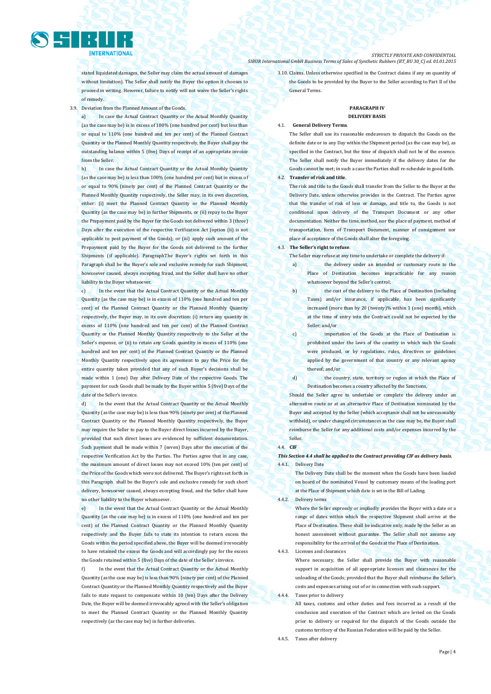stated liquidated damages, the Seller may claim the actual amount of damages without limitation). The Seller shall notify the Buyer the option it chooses to proceed in writing. However, failure to notify will not waive the Seller's rights of remedy.

3.9. Deviation from the Planned Amount of the Goods.

a) In case the Actual Contract Quantity or the Actual Monthly Quantity (as the case may be) is in excess of 100% (one hundred per cent) but less than or equal to 110% (one hundred and ten per cent) of the Planned Contract Quantity or the Planned Monthly Quantity respectively, the Buyer shall pay the outstanding balance within 5 (five) Days of receipt of an appropriate invoice from the Seller.

b) In case the Actual Contract Quantity or the Actual Monthly Quantity (as the case may be) is less than 100% (one hundred per cent) but in excess of or equal to 90% (ninety per cent) of the Planned Contract Quantity or the Planned Monthly Quantity respectively, the Seller may, in its own discretion, either: (i) meet the Planned Contract Quantity or the Planned Monthly Quantity (as the case may be) in further Shipments, or (ii) repay to the Buyer the Prepayment paid by the Buyer for the Goods not delivered within 3 (three) Days after the execution of the respective Verification Act (option (ii) is not applicable to post payment of the Goods); or (iii) apply such amount of the Prepayment paid by the Buyer for the Goods not delivered to the further Shipments (if applicable). ParagraphThe Buyer's rights set forth in this Paragraph shall be the Buyer's sole and exclusive remedy for such Shipment, howsoever caused, always excepting fraud, and the Seller shall have no other liability to the Buyer whatsoever.

c) In the event that the Actual Contract Quantity or the Actual Monthly Quantity (as the case may be) is in excess of 110% (one hundred and ten per cent) of the Planned Contract Quantity or the Planned Monthly Quantity respectively, the Buyer may, in its own discretion: (i) return any quantity in excess of 110% (one hundred and ten per cent) of the Planned Contract Quantity or the Planned Monthly Quantity respectively to the Seller at the Seller's expense, or (ii) to retain any Goods quantity in excess of 110% (one hundred and ten per cent) of the Planned Contract Quantity or the Planned Monthly Quantity respectively upon its agreement to pay the Price for the entire quantity taken provided that any of such Buyer's decisions shall be made within 1 (one) Day after Delivery Date of the respective Goods. The payment for such Goods shall be made by the Buyer within 5 (five) Days of the date of the Seller's invoice.

d) In the event that the Actual Contract Quantity or the Actual Monthly Quantity (as the case may be) is less than 90% (ninety per cent) of the Planned Contract Quantity or the Planned Monthly Quantity respectively, the Buyer may require the Seller to pay to the Buyer direct losses incurred by the Buyer, provided that such direct losses are evidenced by sufficient documentation. Such payment shall be made within 7 (seven) Days after the execution of the respective Verification Act by the Parties. The Parties agree that in any case, the maximum amount of direct losses may not exceed 10% (ten per cent) of the Price of the Goods which were not delivered. The Buyer's rights set forth in this Paragraph shall be the Buyer's sole and exclusive remedy for such short delivery, howsoever caused, always excepting fraud, and the Seller shall have no other liability to the Buyer whatsoever.

In the event that the Actual Contract Quantity or the Actual Monthly Quantity (as the case may be) is in excess of 110% (one hundred and ten per cent) of the Planned Contract Quantity or the Planned Monthly Quantity respectively and the Buyer fails to state its intention to return excess the Goods within the period specified above, the Buyer will be deemed irrevocably to have retained the excess the Goods and will accordingly pay for the excess the Goods retained within 5 (five) Days of the date of the Seller's invoice.

f) In the event that the Actual Contract Quantity or the Actual Monthly Quantity (as the case may be) is less than 90% (ninety per cent) of the Planned Contract Quantity or the Planned Monthly Quantity respectively and the Buyer fails to state request to compensate within 10 (ten) Days after the Delivery Date, the Buyer will be deemed irrevocably agreed with the Seller's obligation to meet the Planned Contract Quantity or the Planned Monthly Quantity respectively (as the case may be) in further deliveries.

*STRICTLY PRIVATE AND CONFIDENTIAL SIBUR International GmbH Business Terms of Sales of Synthetic Rubbers (BT\_BU 30\_C) ed. 01.01.2015*

> 3.10. Claims. Unless otherwise specified in the Contract claims if any on quantity of the Goods to be provided by the Buyer to the Seller according to Part II of the General Terms.

#### **PARAGRAPH IV DELIVERY BASIS**

## 4.1. **General Delivery Terms**.

The Seller shall use its reasonable endeavours to dispatch the Goods on the definite date or in any Day within the Shipment period (as the case may be), as specified in the Contract, but the time of dispatch shall not be of the essence. The Seller shall notify the Buyer immediately if the delivery dates for the Goods cannot be met; in such a case the Parties shall re-schedule in good faith.

#### 4.2. **Transfer of risk and title**.

The risk and title to the Goods shall transfer from the Seller to the Buyer at the Delivery Date, unless otherwise provides in the Contract. The Parties agree that the transfer of risk of loss or damage, and title to, the Goods is not conditional upon delivery of the Transport Document or any other documentation. Neither the time, method, nor the place of payment, method of transportation, form of Transport Document, manner of consignment nor place of acceptance of the Goods shall alter the foregoing.

## 4.3. **The Seller's right to refuse**.

The Seller may refuse at any time to undertake or complete the delivery if:

- a) the delivery under an intended or customary route to the Place of Destination becomes impracticable for any reason whatsoever beyond the Seller's control;
- b) the cost of the delivery to the Place of Destination (including Taxes) and/or insurance, if applicable, has been significantly increased (more than by 20 (twenty)% within 1 (one) month), which at the time of entry into the Contract could not be expected by the Seller; and/or

c) importation of the Goods at the Place of Destination is prohibited under the laws of the country in which such the Goods were produced, or by regulations, rules, directives or guidelines applied by the government of that country or any relevant agency thereof; and/or

d) the country, state, territory or region at which the Place of Destination becomes a country affected by the Sanctions,

Should the Seller agree to undertake or complete the delivery under an alternative route or at an alternative Place of Destination nominated by the Buyer and accepted by the Seller (which acceptance shall not be unreasonably withheld), or under changed circumstances as the case may be, the Buyer shall reimburse the Seller for any additional costs and/or expenses incurred by the Seller.

#### 4.4. **CIF**

#### *This Section 4.4 shall be applied to the Contract providing CIF as delivery basis.* 4.4.1. Delivery Date

The Delivery Date shall be the moment when the Goods have been loaded on board of the nominated Vessel by customary means of the loading port at the Place of Shipment which date is set in the Bill of Lading.

4.4.2. Delivery terms

Where the Seller expressly or impliedly provides the Buyer with a date or a range of dates within which the respective Shipment shall arrive at the Place of Destination. These shall be indicative only, made by the Seller as an honest assessment without guarantee. The Seller shall not assume any responsibility for the arrival of the Goods at the Place of Destination.

4.4.3. Licenses and clearances Where necessary, the Seller shall provide the Buyer with reasonable support in acquisition of all appropriate licenses and clearances for the unloading of the Goods; provided that the Buyer shall reimburse the Seller's costs and expenses arising out of or in connection with such support. 4.4.4. Taxes prior to delivery

All taxes, customs and other duties and fees incurred as a result of the conclusion and execution of the Contract which are levied on the Goods prior to delivery or required for the dispatch of the Goods outside the customs territory of the Russian Federation will be paid by the Seller.

4.4.5. Taxes after delivery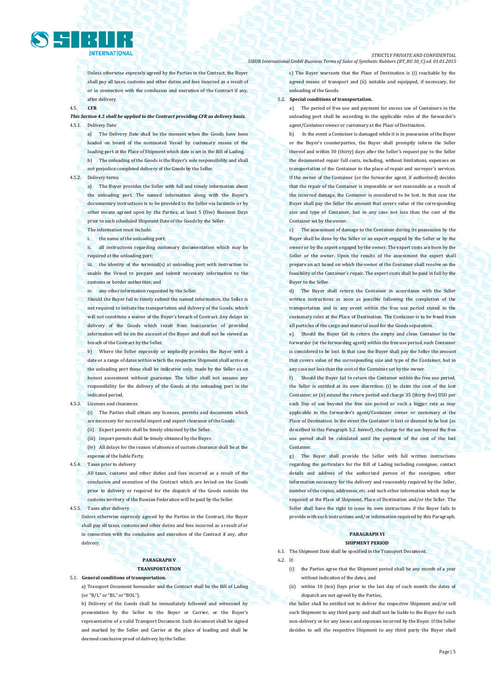

Unless otherwise expressly agreed by the Parties in the Contract, the Buyer shall pay all taxes, customs and other duties and fees incurred as a result of or in connection with the conclusion and execution of the Contract if any, after delivery.

#### 4.5. **CFR**

#### *This Section 4.5 shall be applied to the Contract providing CFR as delivery basis.*  4.5.1. Delivery Date

a) The Delivery Date shall be the moment when the Goods have been loaded on board of the nominated Vessel by customary means of the loading port at the Place of Shipment which date is set in the Bill of Lading. b) The unloading of the Goods is the Buyer's sole responsibility and shall not prejudice completed delivery of the Goods by the Seller.

#### 4.5.2. Delivery terms

a) The Buyer provides the Seller with full and timely information about the unloading port. The named information along with the Buyer's documentary instructions is to be provided to the Seller via facsimile or by other means agreed upon by the Parties, at least 5 (five) Business Days prior to each scheduled Shipment Date of the Goods by the Seller. The information must include:

the name of the unloading port;

ii. all instructions regarding customary documentation which may be required at the unloading port;

iii. the identity of the terminal(s) at unloading port with instruction to enable the Vessel to prepare and submit necessary information to the customs or border authorities; and

iv. any other information requested by the Seller.

Should the Buyer fail to timely submit the named information, the Seller is not required to initiate the transportation and delivery of the Goods, which will not constitute a waiver of the Buyer's breach of Contract. Any delays in delivery of the Goods which result from inaccuracies of provided information will be on the account of the Buyer and shall not be viewed as breach of the Contract by the Seller.

b) Where the Seller expressly or impliedly provides the Buyer with a date or a range of dates within which the respective Shipment shall arrive at the unloading port these shall be indicative only, made by the Seller as an honest assessment without guarantee. The Seller shall not assume any responsibility for the delivery of the Goods at the unloading port in the indicated period.

4.5.3. Licenses and clearances

(i) The Parties shall obtain any licenses, permits and documents which are necessary for successful import and export clearance of the Goods. (ii) Export permits shall be timely obtained by the Seller.

(iii) Import permits shall be timely obtained by the Buyer.

(iv) All delays for the reason of absence of custom clearance shall be at the expense of the liable Party.

4.5.4. Taxes prior to delivery

All taxes, customs and other duties and fees incurred as a result of the conclusion and execution of the Contract which are levied on the Goods prior to delivery or required for the dispatch of the Goods outside the customs territory of the Russian Federation will be paid by the Seller.

4.5.5. Taxes after delivery

Unless otherwise expressly agreed by the Parties in the Contract, the Buyer shall pay all taxes, customs and other duties and fees incurred as a result of or in connection with the conclusion and execution of the Contract if any, after delivery.

## **PARAGRAPH V TRANSPORTATION**

5.1. **General conditions of transportation.**

a) Transport Document hereunder and the Contract shall be the Bill of Lading (or "B/L" or "BL" or "BOL").

b) Delivery of the Goods shall be immediately followed and witnessed by presentation by the Seller to the Buyer or Carrier, or the Buyer's representative of a valid Transport Document. Such document shall be signed and marked by the Seller and Carrier at the place of loading and shall be deemed conclusive proof of delivery by the Seller.

c) The Buyer warrants that the Place of Destination is (i) reachable by the agreed means of transport and (ii) suitable and equipped, if necessary, for unloading of the Goods.

#### 5.2. **Special conditions of transportation.**

a) The period of free use and payment for excess use of Containers in the unloading port shall be according to the applicable rules of the forwarder's agent/Container owner or customary at the Place of Destination.

In the event a Container is damaged while it is in possession of the Buyer or the Buyer's counterparties, the Buyer shall promptly inform the Seller thereof and within 30 (thirty) days after the Seller's request pay to the Seller the documented repair full costs, including, without limitations, expenses on transportation of the Container to the place of repair and surveyor's services. If the owner of the Container (or the forwarder agent, if authorized) decides that the repair of the Container is impossible or not reasonable as a result of the incurred damage, the Container is considered to be lost. In that case the Buyer shall pay the Seller the amount that covers value of the corresponding size and type of Container, but in any case not less than the cost of the Container set by the owner.

c) The assessment of damage to the Container during its possession by the Buyer shall be done by the Seller or an expert engaged by the Seller or by the owner or by the expert engaged by the owner. The expert costs are born by the Seller or the owner. Upon the results of the assessment the expert shall prepare an act based on which the owner of the Container shall resolve on the feasibility of the Container's repair. The expert costs shall be paid in full by the Buyer to the Seller.

d) The Buyer shall return the Container in accordance with the Seller written instructions as soon as possible following the completion of the transportation and in any event within the free use period stated in the customary rules at the Place of Destination. The Container is to be freed from all particles of the cargo and material used for the Goods separation.

e) Should the Buyer fail to return the empty and clean Container to the forwarder (or the forwarding agent) within the free use period, such Container is considered to be lost. In that case the Buyer shall pay the Seller the amount that covers value of the corresponding size and type of the Container, but in any case not less than the cost of the Container set by the owner.

f) Should the Buyer fail to return the Container within the free use period, the Seller is entitled at its own discretion: (i) to claim the cost of the lost Container; or (ii) extend the return period and charge 35 (thirty five) USD per each Day of use beyond the free use period or such a bigger rate as may applicable to the forwarder's agent/Container owner or customary at the Place of Destination. In the event the Container is lost or deemed to be lost (as described in this Paragraph 5.2. hereof), the charge for the use beyond the free use period shall be calculated until the payment of the cost of the lost **Container** 

g) The Buyer shall provide the Seller with full written instructions regarding the particulars for the Bill of Lading including consignee, contact details and address of the authorized person of the consignee, other information necessary for the delivery and reasonably required by the Seller, number of the copies, addresses, etc. and such other information which may be required at the Place of Shipment, Place of Destination and/or the Seller. The Seller shall have the right to issue its own instructions if the Buyer fails to provide with such instructions and/or information required by this Paragraph.

#### **PARAGRAPH VI SHIPMENT PERIOD**

6.1. The Shipment Date shall be specified in the Transport Document.

 $6.2$  If:

- (i) the Parties agree that the Shipment period shall be any month of a year without indication of the dates, and
- (ii) within 10 (ten) Days prior to the last day of such month the dates of dispatch are not agreed by the Parties,

the Seller shall be entitled not to deliver the respective Shipment and/or sell such Shipment to any third party and shall not be liable to the Buyer for such non-delivery or for any losses and expenses incurred by the Buyer. If the Seller decides to sell the respective Shipment to any third party the Buyer shall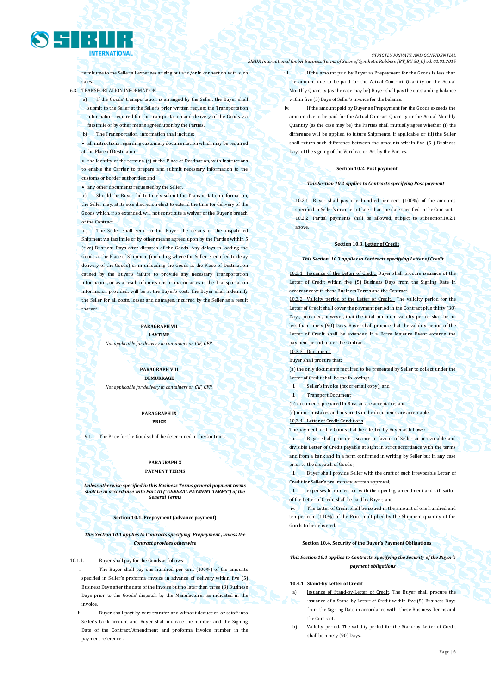

reimburse to the Seller all expenses arising out and/or in connection with such sales.

6.3. TRANSPORTATION INFORMATION

a) If the Goods' transportation is arranged by the Seller, the Buyer shall submit to the Seller at the Seller's prior written request the Transportation

- information required for the transportation and delivery of the Goods via facsimile or by other means agreed upon by the Parties.
- The Transportation information shall include

 all instructions regarding customary documentation which may be required at the Place of Destination;

• the identity of the terminal(s) at the Place of Destination, with instructions to enable the Carrier to prepare and submit necessary information to the customs or border authorities; and

any other documents requested by the Seller.

c) Should the Buyer fail to timely submit the Transportation information, the Seller may, at its sole discretion elect to extend the time for delivery of the Goods which, if so extended, will not constitute a waiver of the Buyer's breach of the Contract.

d) The Seller shall send to the Buyer the details of the dispatched Shipment via facsimile or by other means agreed upon by the Parties within 5 (five) Business Days after dispatch of the Goods. Any delays in loading the Goods at the Place of Shipment (including where the Seller is entitled to delay delivery of the Goods) or in unloading the Goods at the Place of Destination caused by the Buyer's failure to provide any necessary Transportation information, or as a result of omissions or inaccuracies in the Transportation information provided, will be at the Buyer's cost. The Buyer shall indemnify the Seller for all costs, losses and damages, incurred by the Seller as a result thereof.

#### **PARAGRAPH VII LAYTIME**

*Not applicable for delivery in containers on CIF, CFR.*

**PARAGRAPH VIII DEMURRAGE** *Not applicable for delivery in containers on CIF, CFR.*

> **PARAGRAPH IX PRICE**

9.1. The Price for the Goods shall be determined in the Contract.

#### **PARAGRAPH X PAYMENT TERMS**

*Unless otherwise specified in this Business Terms general payment terms shall be in accordance with Part III ("GENERAL PAYMENT TERMS") of the General Terms*

#### **Section 10.1. Prepayment (advance payment)**

*This Section 10.1 applies to Contracts specifying Prepayment , unless the Contract provides otherwise*

10.1.1. Buyer shall pay for the Goods as follows:

The Buyer shall pay one hundred per cent (100%) of the amounts specified in Seller's proforma invoice in advance of delivery within five (5) Business Days after the date of the invoice but no later than three (3) Business Days prior to the Goods' dispatch by the Manufacturer as indicated in the invoice

Buyer shall payt by wire transfer and without deduction or setoff into Seller's bank account and Buyer shall indicate the number and the Signing Date of the Contract/Amendment and proforma invoice number in the payment reference .

#### *STRICTLY PRIVATE AND CONFIDENTIAL SIBUR International GmbH Business Terms of Sales of Synthetic Rubbers (BT\_BU 30\_C) ed. 01.01.2015*

iii. If the amount paid by Buyer as Prepayment for the Goods is less than the amount due to be paid for the Actual Contract Quantity or the Actual Monthly Quantity (as the case may be) Buyer shall pay the outstanding balance within five (5) Days of Seller's invoice for the balance.

If the amount paid by Buyer as Prepayment for the Goods exceeds the amount due to be paid for the Actual Contract Quantity or the Actual Monthly Quantity (as the case may be) the Parties shall mutually agree whether (i) the difference will be applied to future Shipments, if applicable or (ii) the Seller shall return such difference between the amounts within five (5 ) Business Days of the signing of the Verification Act by the Parties.

#### **Section 10.2. Post payment**

#### *This Section 10.2 applies to Contracts specifying Post payment*

10.2.1 Buyer shall pay one hundred per cent (100%) of the amounts specified in Seller's invoice not later than the date specified in the Contract. 10.2.2 Partial payments shall be allowed, subject to subsection10.2.1 above.

#### **Section 10.3. Letter of Credit**

#### *This Section 10.3 applies to Contracts specifying Letter of Credit*

If the Letter of Credit. Buyer shall procure issuance of the Letter of Credit within five (5) Business Days from the Signing Date in accordance with these Business Terms and the Contract.

10.3.2 Validity period of the Letter of Credit. The validity period for the Letter of Credit shall cover the payment period in the Contract plus thirty (30) Days, provided, however, that the total minimum validity period shall be no less than ninety (90) Days. Buyer shall procure that the validity period of the Letter of Credit shall be extended if a Force Majeure Event extends the payment period under the Contract.

#### 10.3.3 Documents

Buyer shall procure that:

(a) the only documents required to be presented by Seller to collect under the Letter of Credit shall be the following:

- Seller's invoice (fax or email copy); and
- ii. Transport Document;

(b) documents prepared in Russian are acceptable; and

(c) minor mistakes and misprints in the documents are acceptable.

### Letter of Credit Conditi

The payment for the Goods shall be effected by Buyer as follows:

i. Buyer shall procure issuance in favour of Seller an irrevocable and divisible Letter of Credit payable at sight in strict accordance with the terms and from a bank and in a form confirmed in writing by Seller but in any case prior to the dispatch of Goods ;

ii. Buyer shall provide Seller with the draft of such irrevocable Letter of Credit for Seller's preliminary written approval;

expenses in connection with the opening, amendment and utilisation of the Letter of Credit shall be paid by Buyer; and

The Letter of Credit shall be issued in the amount of one hundred and ten per cent (110%) of the Price multiplied by the Shipment quantity of the Goods to be delivered.

#### **Section 10.4. Security of the Buyer's Payment Obligations**

#### *This Section 10.4 applies to Contracts specifying the Security of the Buyer's payment obligations*

#### **10.4.1 Stand-by Letter of Credit**

- a) Issuance of Stand-by-Letter of Credit. The Buyer shall procure the issuance of a Stand-by Letter of Credit within five (5) Business Days from the Signing Date in accordance with these Business Terms and the Contract.
- Validity period. The validity period for the Stand-by Letter of Credit shall be ninety (90) Days.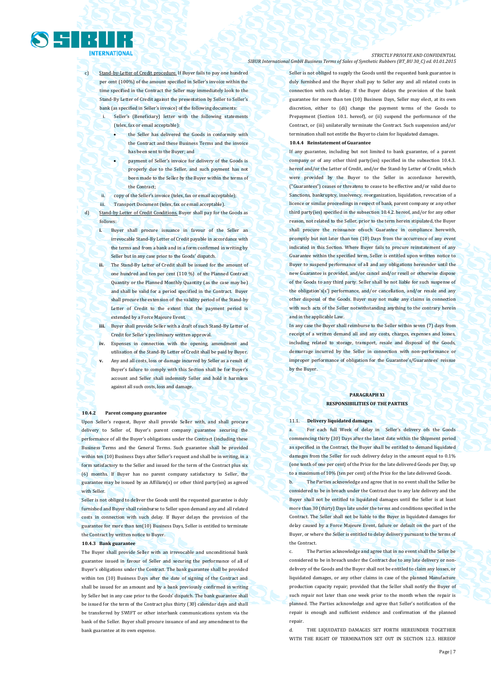

Stand-by-Letter of Credit procedure. If Buyer fails to pay one hundred per cent (100%) of the amount specified in Seller's invoice within the time specified in the Contract the Seller may immediately look to the Stand-By Letter of Credit against the presentation by Seller to Seller's bank (as specified in Seller's invoice) of the following documents:

- Seller's (Beneficiary) letter with the following statements (telex, fax or email acceptable):
	- the Seller has delivered the Goods in conformity with the Contract and these Business Terms and the invoice has been sent to the Buyer; and
	- payment of Seller's invoice for delivery of the Goods is properly due to the Seller, and such payment has not been made to the Seller by the Buyer within the terms of the Contract;
- ii. copy of the Seller's invoice (telex, fax or email acceptable);
- iii. Transport Document (telex, fax or email acceptable).

d) Stand-by Letter of Credit Conditions. Buyer shall pay for the Goods as follows:

- **i.** Buyer shall procure issuance in favour of the Seller an irrevocable Stand-By Letter of Credit payable in accordance with the terms and from a bank and in a form confirmed in writing by Seller but in any case prior to the Goods' dispatch.
- **ii.** The Stand-By Letter of Credit shall be issued for the amount of one hundred and ten per cent (110 %) of the Planned Contract Quantity or the Planned Monthly Quantity (as the case may be) and shall be valid for a period specified in the Contract. Buyer shall procure the extension of the validity period of the Stand-by Letter of Credit to the extent that the payment period is extended by a Force Majeure Event.
- **iii.** Buyer shall provide Seller with a draft of such Stand-By Letter of Credit for Seller's preliminary written approval.
- **iv.** Expenses in connection with the opening, amendment and utilisation of the Stand-By Letter of Credit shall be paid by Buyer.
- **v.** Any and all costs, loss or damage incurred by Seller as a result of Buyer's failure to comply with this Section shall be for Buyer's account and Seller shall indemnify Seller and hold it harmless against all such costs, loss and damage.

#### **10.4.2 Parent company guarantee**

Upon Seller's request, Buyer shall provide Seller with, and shall procure delivery to Seller of, Buyer's parent company guarantee securing the performance of all the Buyer's obligations under the Contract (including these Business Terms and the General Terms. Such guarantee shall be provided within ten (10) Business Days after Seller's request and shall be in writing, in a form satisfactory to the Seller and issued for the term of the Contract plus six (6) months. If Buyer has no parent company satisfactory to Seller, the guarantee may be issued by an Affiliate(s) or other third party(ies) as agreed with Seller.

Seller is not obliged to deliver the Goods until the requested guarantee is duly furnished and Buyer shall reimburse to Seller upon demand any and all related costs in connection with such delay. If Buyer delays the provision of the guarantee for more than ten(10) Business Days, Seller is entitled to terminate the Contract by written notice to Buyer.

#### **10.4.3 Bank guarantee**

The Buyer shall provide Seller with an irrevocable and unconditional bank guarantee issued in favour of Seller and securing the performance of all of Buyer's obligations under the Contract. The bank guarantee shall be provided within ten (10) Business Days after the date of signing of the Contract and shall be issued for an amount and by a bank previously confirmed in writing by Seller but in any case prior to the Goods' dispatch. The bank guarantee shall be issued for the term of the Contract plus thirty (30) calendar days and shall be transferred by SWIFT or other interbank communications system via the bank of the Seller. Buyer shall procure issuance of and any amendment to the bank guarantee at its own expense.

Seller is not obliged to supply the Goods until the requested bank guarantee is duly furnished and the Buyer shall pay to Seller any and all related costs in connection with such delay. If the Buyer delays the provision of the bank guarantee for more than ten (10) Business Days, Seller may elect, at its own discretion, either to (di) change the payment terms of the Goods to Prepayment (Section 10.1. hereof), or (ii) suspend the performance of the Contract, or (iii) unilaterally terminate the Contract. Such suspension and/or termination shall not entitle the Buyer to claim for liquidated damages **10.4.4 Reinstatement of Guarantee**

If any guarantee, including but not limited to bank guarantee, of a parent company or of any other third party(ies) specified in the subsection 10.4.3. hereof and/or the Letter of Credit, and/or the Stand-by Letter of Credit, which were provided by the Buyer to the Seller in accordance herewith, ("Guarantees") ceases or threatens to cease to be effective and/or valid due to Sanctions, bankruptcy, insolvency, reorganization, liquidation, revocation of a licence or similar proceedings in respect of bank, parent company or any other third party(ies) specified in the subsection 10.4.2. hereof, and/or for any other reason, not related to the Seller, prior to the term herein stipulated, the Buyer shall procure the reissuance ofsuch Guarantee in compliance herewith, promptly but not later than ten (10) Days from the occurrence of any event indicated in this Section. Where Buyer fails to procure reinstatement of any Guarantee within the specified term, Seller is entitled upon written notice to Buyer to suspend performance of all and any obligations hereunder until the new Guarantee is provided, and/or cancel and/or resell or otherwise dispose of the Goods to any third party. Seller shall be not liable for such suspense of the obligation's(s') performance, and/or cancellation, and/or resale and any other disposal of the Goods. Buyer may not make any claims in connection with such acts of the Seller notwithstanding anything to the contrary herein and in the applicable Law.

In any case the Buyer shall reimburse to the Seller within seven (7) days from receipt of a written demand all and any costs, charges, expenses and losses, including related to storage, transport, resale and disposal of the Goods, demurrage incurred by the Seller in connection with non-performance or improper performance of obligation for the Guarantee's/Guarantees' reissue by the Buyer.

#### **PARAGRAPH XI RESPONSIBILITIES OF THE PARTIES**

#### 11.1. **Delivery liquidated damages**

For each full Week of delay in Seller's delivery ofs the Goods commencing thirty (30) Days after the latest date within the Shipment period as specified in the Contract, the Buyer shall be entitled to demand liquidated damages from the Seller for such delivery delay in the amount equal to 0.1% (one tenth of one per cent) of the Price for the late delivered Goods per Day, up to a maximum of 10% (ten per cent) of the Price for the late delivered Goods.

b. The Parties acknowledge and agree that in no event shall the Seller be considered to be in breach under the Contract due to any late delivery and the Buyer shall not be entitled to liquidated damages until the Seller is at least more than 30 (thirty) Days late under the terms and conditions specified in the Contract. The Seller shall not be liable to the Buyer in liquidated damages for delay caused by a Force Majeure Event, failure or default on the part of the Buyer, or where the Seller is entitled to delay delivery pursuant to the terms of the Contract.

c. The Parties acknowledge and agree that in no event shall the Seller be considered to be in breach under the Contract due to any late delivery or nondelivery of the Goods and the Buyer shall not be entitled to claim any losses, or liquidated damages, or any other claims in case of the planned Manufacture production capacity repair; provided that the Seller shall notify the Buyer of such repair not later than one week prior to the month when the repair is planned. The Parties acknowledge and agree that Seller's notification of the repair is enough and sufficient evidence and confirmation of the planned repair.

d. THE LIQUIDATED DAMAGES SET FORTH HEREUNDER TOGETHER WITH THE RIGHT OF TERMINATION SET OUT IN SECTION 12.3. HEREOF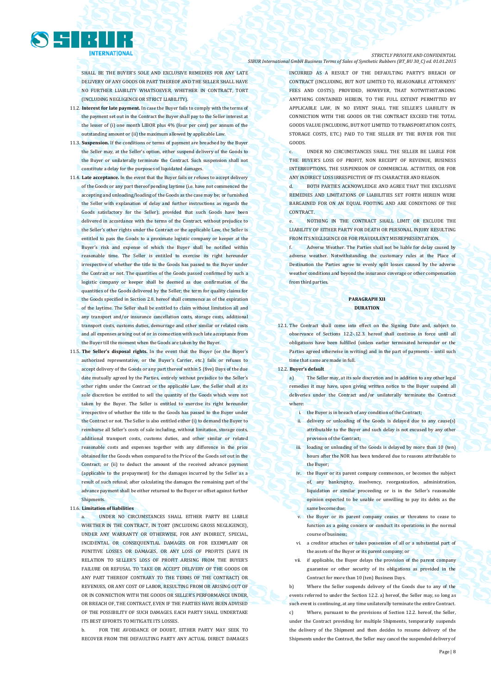

SHALL BE THE BUYER'S SOLE AND EXCLUSIVE REMEDIES FOR ANY LATE DELIVERY OF ANY GOODS OR PART THEREOF AND THE SELLER SHALL HAVE NO FURTHER LIABILITY WHATSOEVER, WHETHER IN CONTRACT, TORT (INCLUDING NEGLIGENCE OR STRICT LIABILITY).

- 11.2. **Interest for late payment.** In case the Buyer fails to comply with the terms of the payment set out in the Contract the Buyer shall pay to the Seller interest at the lesser of (i) one month LIBOR plus 4% (four per cent) per annum of the outstanding amount or (ii) the maximum allowed by applicable Law.
- 11.3. **Suspension.** If the conditions or terms of payment are breached by the Buyer the Seller may, at the Seller's option, either suspend delivery of the Goods to the Buyer or unilaterally terminate the Contract. Such suspension shall not constitute a delay for the purposes of liquidated damages.
- 11.4. **Late acceptance.** In the event that the Buyer fails or refuses to accept delivery of the Goods or any part thereof pending laytime (i.e. have not commenced the accepting and unloading/loading of the Goods as the case may be; or furnished the Seller with explanation of delay and further instructions as regards the Goods satisfactory for the Seller); provided that such Goods have been delivered in accordance with the terms of the Contract, without prejudice to the Seller's other rights under the Contract or the applicable Law, the Seller is entitled to pass the Goods to a proximate logistic company or keeper at the Buyer's risk and expense of which the Buyer shall be notified within reasonable time. The Seller is entitled to exercise its right hereunder irrespective of whether the title to the Goods has passed to the Buyer under the Contract or not. The quantities of the Goods passed confirmed by such a logistic company or keeper shall be deemed as due confirmation of the quantities of the Goods delivered by the Seller; the term for quality claims for the Goods specified in Section 2.8. hereof shall commence as of the expiration of the laytime. The Seller shall be entitled to claim without limitation all and any transport and/or insurance cancellation costs, storage costs, additional transport costs, customs duties, demurrage and other similar or related costs and all expenses arising out of or in connection with such late acceptance from the Buyer till the moment when the Goods are taken by the Buyer.
- 11.5. **The Seller's disposal rights.** In the event that the Buyer (or the Buyer's authorized representative, or the Buyer's Carrier, etc.) fails or refuses to accept delivery of the Goods or any part thereof within 5 (five) Days of the due date mutually agreed by the Parties, entirely without prejudice to the Seller's other rights under the Contract or the applicable Law, the Seller shall at its sole discretion be entitled to sell the quantity of the Goods which were not taken by the Buyer. The Seller is entitled to exercise its right hereunder irrespective of whether the title to the Goods has passed to the Buyer under the Contract or not. The Seller is also entitled either (i) to demand the Buyer to reimburse all Seller's costs of sale including, without limitation, storage costs, additional transport costs, customs duties, and other similar or related reasonable costs and expenses together with any difference in the price obtained for the Goods when compared to the Price of the Goods set out in the Contract; or (ii) to deduct the amount of the received advance payment (applicable to the prepayment) for the damages incurred by the Seller as a result of such refusal; after calculating the damages the remaining part of the advance payment shall be either returned to the Buyer or offset against further Shipments.

#### 11.6. **Limitation of liabilities**

UNDER NO CIRCUMSTANCES SHALL EITHER PARTY BE LIABLE WHETHER IN THE CONTRACT, IN TORT (INCLUDING GROSS NEGLIGENCE). UNDER ANY WARRANTY OR OTHERWISE, FOR ANY INDIRECT, SPECIAL, INCIDENTAL OR CONSEQUENTIAL DAMAGES OR FOR EXEMPLARY OR PUNITIVE LOSSES OR DAMAGES, OR ANY LOSS OF PROFITS (SAVE IN RELATION TO SELLER'S LOSS OF PROFIT ARISING FROM THE BUYER'S FAILURE OR REFUSAL TO TAKE OR ACCEPT DELIVERY OF THE GOODS OR ANY PART THEREOF CONTRARY TO THE TERMS OF THE CONTRACT) OR REVENUES, OR ANY COST OF LABOR, RESULTING FROM OR ARISING OUT OF OR IN CONNECTION WITH THE GOODS OR SELLER'S PERFORMANCE UNDER, OR BREACH OF, THE CONTRACT, EVEN IF THE PARTIES HAVE BEEN ADVISED OF THE POSSIBILITY OF SUCH DAMAGES. EACH PARTY SHALL UNDERTAKE ITS BEST EFFORTS TO MITIGATE ITS LOSSES.

b. FOR THE AVOIDANCE OF DOURT, FITHER PARTY MAY SEEK TO RECOVER FROM THE DEFAULTING PARTY ANY ACTUAL DIRECT DAMAGES

#### *STRICTLY PRIVATE AND CONFIDENTIAL SIBUR International GmbH Business Terms of Sales of Synthetic Rubbers (BT\_BU 30\_C) ed. 01.01.2015*

INCURRED AS A RESULT OF THE DEFAULTING PARTY'S BREACH OF CONTRACT (INCLUDING, BUT NOT LIMITED TO, REASONABLE ATTORNEYS' FEES AND COSTS): PROVIDED HOWEVER, THAT NOTWITHSTANDING ANYTHING CONTAINED HEREIN, TO THE FULL EXTENT PERMITTED BY APPLICABLE LAW, IN NO EVENT SHALL THE SELLER'S LIABILITY IN CONNECTION WITH THE GOODS OR THE CONTRACT EXCEED THE TOTAL GOODS VALUE (INCLUDING, BUT NOT LIMITED TO TRANSPORTATION COSTS, STORAGE COSTS, ETC.) PAID TO THE SELLER BY THE BUYER FOR THE GOODS.

c. UNDER NO CIRCUMSTANCES SHALL THE SELLER BE LIABLE FOR THE BUYER'S LOSS OF PROFIT, NON RECEIPT OF REVENUE, BUSINESS INTERRUPTIONS, THE SUSPENSION OF COMMERCIAL ACTIVITIES, OR FOR ANY INDIRECT LOSS IRRESPECTIVE OF ITS CHARACTER AND REASON.

d. BOTH PARTIES ACKNOWLEDGE AND AGREE THAT THE EXCLUSIVE REMEDIES AND LIMITATIONS OF LIABILITIES SET FORTH HEREIN WERE BARGAINED FOR ON AN EQUAL FOOTING AND ARE CONDITIONS OF THE CONTRACT.

e. NOTHING IN THE CONTRACT SHALL LIMIT OR EXCLUDE THE LIABILITY OF EITHER PARTY FOR DEATH OR PERSONAL INJURY RESULTING FROM ITS NEGLIGENCE OR FOR FRAUDULENT MISREPRESENTATION.

Adverse Weather. The Parties shall not be liable for delay caused by adverse weather. Notwithstanding the customary rules at the Place of Destination the Parties agree to evenly split losses caused by the adverse weather conditions and beyond the insurance coverage or other compensation from third parties

#### **PARAGRAPH XII DURATION**

12.1. The Contract shall come into effect on the Signing Date and, subject to observance of Sections 12.2-.12.3. hereof shall continue in force until all obligations have been fulfilled (unless earlier terminated hereunder or the Parties agreed otherwise in writing) and in the part of payments – until such time that same are made in full.

#### 12.2. **Buyer's default**

a) The Seller may, at its sole discretion and in addition to any other legal remedies it may have, upon giving written notice to the Buyer suspend all deliveries under the Contract and/or unilaterally terminate the Contract where:

i. the Buyer is in breach of any condition of the Contract;

- ii. delivery or unloading of the Goods is delayed due to any cause(s) attributable to the Buyer and such delay is not excused by any other provision of the Contract;
- iii. loading or unloading of the Goods is delayed by more than 10 (ten) hours after the NOR has been tendered due to reasons attributable to the Buyer
- iv. the Buyer or its parent company commences, or becomes the subject of, any bankruptcy, insolvency, reorganization, administration, liquidation or similar proceeding or is in the Seller's reasonable opinion expected to be unable or unwilling to pay its debts as the same become due;
- v. the Buyer or its parent company ceases or threatens to cease to function as a going concern or conduct its operations in the normal course of business;
- vi. a creditor attaches or takes possession of all or a substantial part of the assets of the Buyer or its parent company; or
- vii. if applicable, the Buyer delays the provision of the parent company guarantee or other security of its obligations as provided in the Contract for more than 10 (ten) Business Days.

b) Where the Seller suspends delivery of the Goods due to any of the events referred to under the Section 12.2. a) hereof, the Seller may, so long as such event is continuing, at any time unilaterally terminate the entire Contract. c) Where, pursuant to the provisions of Section 12.2. hereof, the Seller, under the Contract providing for multiple Shipments, temporarily suspends the delivery of the Shipment and then decides to resume delivery of the Shipments under the Contract, the Seller may cancel the suspended delivery of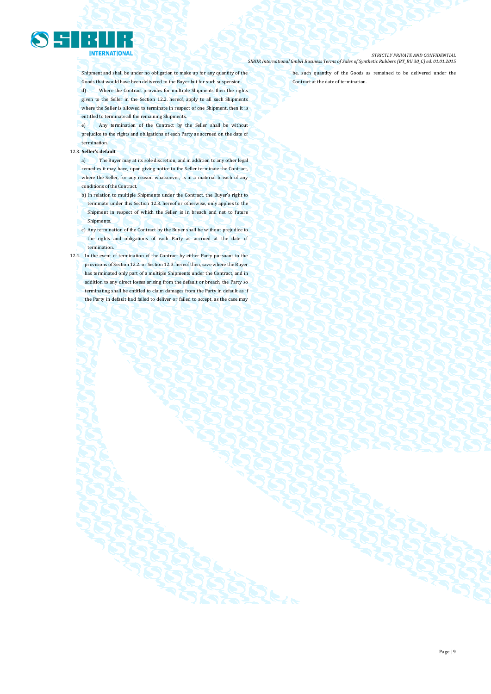

Shipment and shall be under no obligation to make up for any quantity of the Goods that would have been delivered to the Buyer but for such suspension. d) Where the Contract provides for multiple Shipments then the rights given to the Seller in the Section 12.2. hereof, apply to all such Shipments where the Seller is allowed to terminate in respect of one Shipment, then it is entitled to terminate all the remaining Shipments.

e) Any termination of the Contract by the Seller shall be without prejudice to the rights and obligations of each Party as accrued on the date of termination.

#### 12.3. **Seller's default**

a) The Buyer may at its sole discretion, and in addition to any other legal remedies it may have, upon giving notice to the Seller terminate the Contract, where the Seller, for any reason whatsoever, is in a material breach of any conditions of the Contract.

b) In relation to multiple Shipments under the Contract, the Buyer's right to

- terminate under this Section 12.3. hereof or otherwise, only applies to the Shipment in respect of which the Seller is in breach and not to future **Shipments**
- c) Any termination of the Contract by the Buyer shall be without prejudice to the rights and obligations of each Party as accrued at the date of termination.
- 12.4. In the event of termination of the Contract by either Party pursuant to the provisions of Section 12.2. or Section 12.3. hereof then, save where the Buyer has terminated only part of a multiple Shipments under the Contract, and in addition to any direct losses arising from the default or breach, the Party so terminating shall be entitled to claim damages from the Party in default as if the Party in default had failed to deliver or failed to accept, as the case may

be, such quantity of the Goods as remained to be delivered under the Contract at the date of termination.